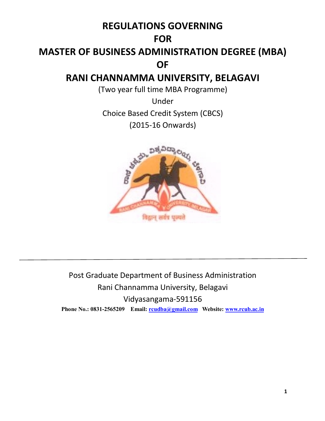### **REGULATIONS GOVERNING**

### **FOR**

# **MASTER OF BUSINESS ADMINISTRATION DEGREE (MBA) OF**

### **RANI CHANNAMMA UNIVERSITY, BELAGAVI**

(Two year full time MBA Programme)

Under Choice Based Credit System (CBCS) (2015-16 Onwards)



Post Graduate Department of Business Administration Rani Channamma University, Belagavi Vidyasangama-591156 **Phone No.: 0831-2565209 Email: rcudba@gmail.com Website: www.rcub.ac.in**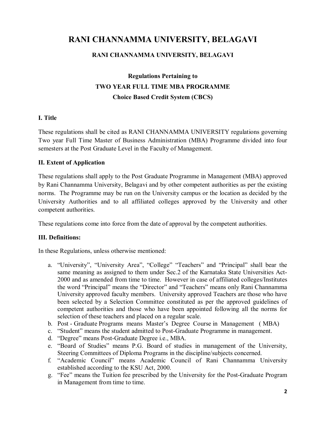### **RANI CHANNAMMA UNIVERSITY, BELAGAVI**

#### **RANI CHANNAMMA UNIVERSITY, BELAGAVI**

### **Regulations Pertaining to TWO YEAR FULL TIME MBA PROGRAMME Choice Based Credit System (CBCS)**

#### **I. Title**

These regulations shall be cited as RANI CHANNAMMA UNIVERSITY regulations governing Two year Full Time Master of Business Administration (MBA) Programme divided into four semesters at the Post Graduate Level in the Faculty of Management.

#### **II. Extent of Application**

These regulations shall apply to the Post Graduate Programme in Management (MBA) approved by Rani Channamma University, Belagavi and by other competent authorities as per the existing norms. The Programme may be run on the University campus or the location as decided by the University Authorities and to all affiliated colleges approved by the University and other competent authorities.

These regulations come into force from the date of approval by the competent authorities.

#### **III. Definitions:**

In these Regulations, unless otherwise mentioned:

- a. "University", "University Area", "College" "Teachers" and "Principal" shall bear the same meaning as assigned to them under Sec.2 of the Karnataka State Universities Act-2000 and as amended from time to time. However in case of affiliated colleges/Institutes the word "Principal" means the "Director" and "Teachers" means only Rani Channamma University approved faculty members. University approved Teachers are those who have been selected by a Selection Committee constituted as per the approved guidelines of competent authorities and those who have been appointed following all the norms for selection of these teachers and placed on a regular scale.
- b. Post Graduate Programs means Master's Degree Course in Management ( MBA)
- c. "Student" means the student admitted to Post-Graduate Programme in management.
- d. "Degree" means Post-Graduate Degree i.e., MBA.
- e. "Board of Studies" means P.G. Board of studies in management of the University, Steering Committees of Diploma Programs in the discipline/subjects concerned.
- f. "Academic Council" means Academic Council of Rani Channamma University established according to the KSU Act, 2000.
- g. "Fee" means the Tuition fee prescribed by the University for the Post-Graduate Program in Management from time to time.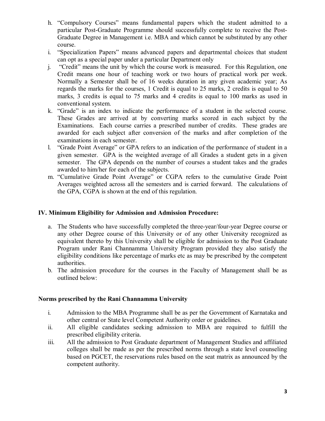- h. "Compulsory Courses" means fundamental papers which the student admitted to a particular Post-Graduate Programme should successfully complete to receive the Post-Graduate Degree in Management i.e. MBA and which cannot be substituted by any other course.
- i. "Specialization Papers" means advanced papers and departmental choices that student can opt as a special paper under a particular Department only
- j. "Credit" means the unit by which the course work is measured. For this Regulation, one Credit means one hour of teaching work or two hours of practical work per week. Normally a Semester shall be of 16 weeks duration in any given academic year; As regards the marks for the courses, 1 Credit is equal to 25 marks, 2 credits is equal to 50 marks, 3 credits is equal to 75 marks and 4 credits is equal to 100 marks as used in conventional system.
- k. "Grade" is an index to indicate the performance of a student in the selected course. These Grades are arrived at by converting marks scored in each subject by the Examinations. Each course carries a prescribed number of credits. These grades are awarded for each subject after conversion of the marks and after completion of the examinations in each semester.
- l. "Grade Point Average" or GPA refers to an indication of the performance of student in a given semester. GPA is the weighted average of all Grades a student gets in a given semester. The GPA depends on the number of courses a student takes and the grades awarded to him/her for each of the subjects.
- m. "Cumulative Grade Point Average" or CGPA refers to the cumulative Grade Point Averages weighted across all the semesters and is carried forward. The calculations of the GPA, CGPA is shown at the end of this regulation.

#### **IV. Minimum Eligibility for Admission and Admission Procedure:**

- a. The Students who have successfully completed the three-year/four-year Degree course or any other Degree course of this University or of any other University recognized as equivalent thereto by this University shall be eligible for admission to the Post Graduate Program under Rani Channamma University Program provided they also satisfy the eligibility conditions like percentage of marks etc as may be prescribed by the competent authorities.
- b. The admission procedure for the courses in the Faculty of Management shall be as outlined below:

#### **Norms prescribed by the Rani Channamma University**

- i. Admission to the MBA Programme shall be as per the Government of Karnataka and other central or State level Competent Authority order or guidelines.
- ii. All eligible candidates seeking admission to MBA are required to fulfill the prescribed eligibility criteria.
- iii. All the admission to Post Graduate department of Management Studies and affiliated colleges shall be made as per the prescribed norms through a state level counseling based on PGCET, the reservations rules based on the seat matrix as announced by the competent authority.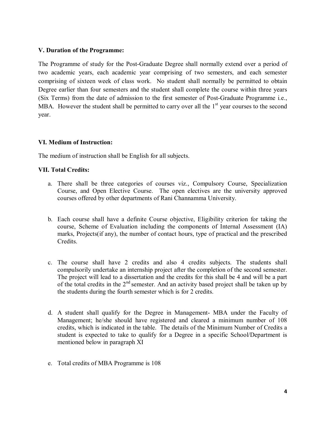#### **V. Duration of the Programme:**

The Programme of study for the Post-Graduate Degree shall normally extend over a period of two academic years, each academic year comprising of two semesters, and each semester comprising of sixteen week of class work. No student shall normally be permitted to obtain Degree earlier than four semesters and the student shall complete the course within three years (Six Terms) from the date of admission to the first semester of Post-Graduate Programme i.e., MBA. However the student shall be permitted to carry over all the  $1<sup>st</sup>$  year courses to the second year.

#### **VI. Medium of Instruction:**

The medium of instruction shall be English for all subjects.

#### **VII. Total Credits:**

- a. There shall be three categories of courses viz., Compulsory Course, Specialization Course, and Open Elective Course. The open electives are the university approved courses offered by other departments of Rani Channamma University.
- b. Each course shall have a definite Course objective, Eligibility criterion for taking the course, Scheme of Evaluation including the components of Internal Assessment (IA) marks, Projects(if any), the number of contact hours, type of practical and the prescribed Credits.
- c. The course shall have 2 credits and also 4 credits subjects. The students shall compulsorily undertake an internship project after the completion of the second semester. The project will lead to a dissertation and the credits for this shall be 4 and will be a part of the total credits in the  $2<sup>nd</sup>$  semester. And an activity based project shall be taken up by the students during the fourth semester which is for 2 credits.
- d. A student shall qualify for the Degree in Management- MBA under the Faculty of Management; he/she should have registered and cleared a minimum number of 108 credits, which is indicated in the table. The details of the Minimum Number of Credits a student is expected to take to qualify for a Degree in a specific School/Department is mentioned below in paragraph XI
- e. Total credits of MBA Programme is 108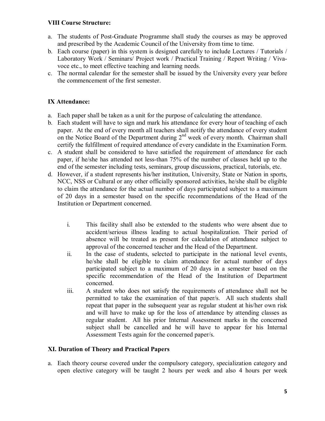#### **VIII Course Structure:**

- a. The students of Post-Graduate Programme shall study the courses as may be approved and prescribed by the Academic Council of the University from time to time.
- b. Each course (paper) in this system is designed carefully to include Lectures / Tutorials / Laboratory Work / Seminars/ Project work / Practical Training / Report Writing / Vivavoce etc., to meet effective teaching and learning needs.
- c. The normal calendar for the semester shall be issued by the University every year before the commencement of the first semester.

#### **IX Attendance:**

- a. Each paper shall be taken as a unit for the purpose of calculating the attendance.
- b. Each student will have to sign and mark his attendance for every hour of teaching of each paper. At the end of every month all teachers shall notify the attendance of every student on the Notice Board of the Department during 2<sup>nd</sup> week of every month. Chairman shall certify the fulfillment of required attendance of every candidate in the Examination Form.
- c. A student shall be considered to have satisfied the requirement of attendance for each paper, if he/she has attended not less-than 75% of the number of classes held up to the end of the semester including tests, seminars, group discussions, practical, tutorials, etc.
- d. However, if a student represents his/her institution, University, State or Nation in sports, NCC, NSS or Cultural or any other officially sponsored activities, he/she shall be eligible to claim the attendance for the actual number of days participated subject to a maximum of 20 days in a semester based on the specific recommendations of the Head of the Institution or Department concerned.
	- i. This facility shall also be extended to the students who were absent due to accident/serious illness leading to actual hospitalization. Their period of absence will be treated as present for calculation of attendance subject to approval of the concerned teacher and the Head of the Department.
	- ii. In the case of students, selected to participate in the national level events, he/she shall be eligible to claim attendance for actual number of days participated subject to a maximum of 20 days in a semester based on the specific recommendation of the Head of the Institution of Department concerned.
	- iii. A student who does not satisfy the requirements of attendance shall not be permitted to take the examination of that paper/s. All such students shall repeat that paper in the subsequent year as regular student at his/her own risk and will have to make up for the loss of attendance by attending classes as regular student. All his prior Internal Assessment marks in the concerned subject shall be cancelled and he will have to appear for his Internal Assessment Tests again for the concerned paper/s.

#### **XI. Duration of Theory and Practical Papers**

a. Each theory course covered under the compulsory category, specialization category and open elective category will be taught 2 hours per week and also 4 hours per week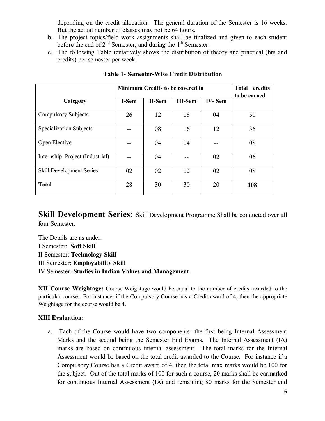depending on the credit allocation. The general duration of the Semester is 16 weeks. But the actual number of classes may not be 64 hours.

- b. The project topics/field work assignments shall be finalized and given to each student before the end of  $2<sup>nd</sup>$  Semester, and during the  $4<sup>th</sup>$  Semester.
- c. The following Table tentatively shows the distribution of theory and practical (hrs and credits) per semester per week.

|                                 | <b>Total</b><br>credits<br>to be earned |          |                |               |     |
|---------------------------------|-----------------------------------------|----------|----------------|---------------|-----|
| Category                        | I-Sem                                   | $II-Sem$ | <b>III-Sem</b> | <b>IV-Sem</b> |     |
| <b>Compulsory Subjects</b>      | 26                                      | 12       | 08             | 04            | 50  |
| Specialization Subjects         |                                         | 08       | 16             | 12            | 36  |
| Open Elective                   |                                         | 04       | 04             |               | 08  |
| Internship Project (Industrial) |                                         | 04       |                | 02            | 06  |
| <b>Skill Development Series</b> | 02                                      | 02       | 02             | 02            | 08  |
| <b>Total</b>                    | 28                                      | 30       | 30             | 20            | 108 |

#### **Table 1- Semester-Wise Credit Distribution**

**Skill Development Series:** Skill Development Programme Shall be conducted over all four Semester.

The Details are as under: I Semester: **Soft Skill**  II Semester: **Technology Skill** III Semester: **Employability Skill**  IV Semester: **Studies in Indian Values and Management**

**XII Course Weightage:** Course Weightage would be equal to the number of credits awarded to the particular course. For instance, if the Compulsory Course has a Credit award of 4, then the appropriate Weightage for the course would be 4.

#### **XIII Evaluation:**

a. Each of the Course would have two components- the first being Internal Assessment Marks and the second being the Semester End Exams. The Internal Assessment (IA) marks are based on continuous internal assessment. The total marks for the Internal Assessment would be based on the total credit awarded to the Course. For instance if a Compulsory Course has a Credit award of 4, then the total max marks would be 100 for the subject. Out of the total marks of 100 for such a course, 20 marks shall be earmarked for continuous Internal Assessment (IA) and remaining 80 marks for the Semester end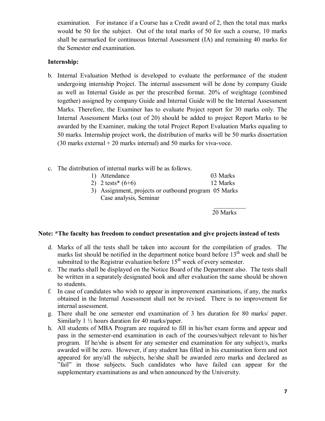examination. For instance if a Course has a Credit award of 2, then the total max marks would be 50 for the subject. Out of the total marks of 50 for such a course, 10 marks shall be earmarked for continuous Internal Assessment (IA) and remaining 40 marks for the Semester end examination.

#### **Internship:**

- b. Internal Evaluation Method is developed to evaluate the performance of the student undergoing internship Project. The internal assessment will be done by company Guide as well as Internal Guide as per the prescribed format. 20% of weightage (combined together) assigned by company Guide and Internal Guide will be the Internal Assessment Marks. Therefore, the Examiner has to evaluate Project report for 30 marks only. The Internal Assessment Marks (out of 20) should be added to project Report Marks to be awarded by the Examiner, making the total Project Report Evaluation Marks equaling to 50 marks. Internship project work, the distribution of marks will be 50 marks dissertation (30 marks external + 20 marks internal) and 50 marks for viva-voce.
- c. The distribution of internal marks will be as follows.

| 1) Attendance               | 03 Marks |
|-----------------------------|----------|
| 2) $2 \text{ tests}^*(6+6)$ | 12 Marks |

3) Assignment, projects or outbound program 05 Marks Case analysis, Seminar

> $\frac{1}{2}$ 20 Marks

#### **Note: \*The faculty has freedom to conduct presentation and give projects instead of tests**

- d. Marks of all the tests shall be taken into account for the compilation of grades. The marks list should be notified in the department notice board before  $13<sup>th</sup>$  week and shall be submitted to the Registrar evaluation before  $15<sup>th</sup>$  week of every semester.
- e. The marks shall be displayed on the Notice Board of the Department also. The tests shall be written in a separately designated book and after evaluation the same should be shown to students.
- f. In case of candidates who wish to appear in improvement examinations, if any, the marks obtained in the Internal Assessment shall not be revised. There is no improvement for internal assessment.
- g. There shall be one semester end examination of 3 hrs duration for 80 marks/ paper. Similarly 1 ½ hours duration for 40 marks/paper.
- h. All students of MBA Program are required to fill in his/her exam forms and appear and pass in the semester-end examination in each of the courses/subject relevant to his/her program. If he/she is absent for any semester end examination for any subject/s, marks awarded will be zero. However, if any student has filled in his examination form and not appeared for any/all the subjects, he/she shall be awarded zero marks and declared as "fail" in those subjects. Such candidates who have failed can appear for the supplementary examinations as and when announced by the University.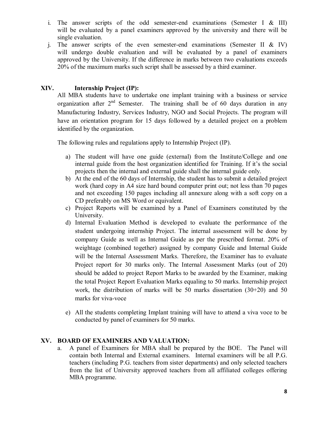- i. The answer scripts of the odd semester-end examinations (Semester I  $\&$  III) will be evaluated by a panel examiners approved by the university and there will be single evaluation.
- j. The answer scripts of the even semester-end examinations (Semester II & IV) will undergo double evaluation and will be evaluated by a panel of examiners approved by the University. If the difference in marks between two evaluations exceeds 20% of the maximum marks such script shall be assessed by a third examiner.

#### **XIV. Internship Project (IP):**

All MBA students have to undertake one implant training with a business or service organization after  $2<sup>nd</sup>$  Semester. The training shall be of 60 days duration in any Manufacturing Industry, Services Industry, NGO and Social Projects. The program will have an orientation program for 15 days followed by a detailed project on a problem identified by the organization.

The following rules and regulations apply to Internship Project (IP).

- a) The student will have one guide (external) from the Institute/College and one internal guide from the host organization identified for Training. If it's the social projects then the internal and external guide shall the internal guide only.
- b) At the end of the 60 days of Internship, the student has to submit a detailed project work (hard copy in A4 size hard bound computer print out; not less than 70 pages and not exceeding 150 pages including all annexure along with a soft copy on a CD preferably on MS Word or equivalent.
- c) Project Reports will be examined by a Panel of Examiners constituted by the University.
- d) Internal Evaluation Method is developed to evaluate the performance of the student undergoing internship Project. The internal assessment will be done by company Guide as well as Internal Guide as per the prescribed format. 20% of weightage (combined together) assigned by company Guide and Internal Guide will be the Internal Assessment Marks. Therefore, the Examiner has to evaluate Project report for 30 marks only. The Internal Assessment Marks (out of 20) should be added to project Report Marks to be awarded by the Examiner, making the total Project Report Evaluation Marks equaling to 50 marks. Internship project work, the distribution of marks will be 50 marks dissertation (30+20) and 50 marks for viva-voce
- e) All the students completing Implant training will have to attend a viva voce to be conducted by panel of examiners for 50 marks.

#### **XV. BOARD OF EXAMINERS AND VALUATION:**

a. A panel of Examiners for MBA shall be prepared by the BOE. The Panel will contain both Internal and External examiners. Internal examiners will be all P.G. teachers (including P.G. teachers from sister departments) and only selected teachers from the list of University approved teachers from all affiliated colleges offering MBA programme.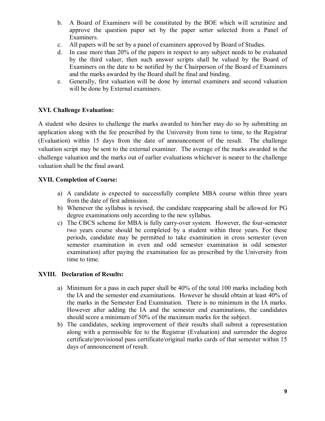- b. A Board of Examiners will be constituted by the BOE which will scrutinize and approve the question paper set by the paper setter selected from a Panel of Examiners.
- c. All papers will be set by a panel of examiners approved by Board of Studies.
- d. In case more than 20% of the papers in respect to any subject needs to be evaluated by the third valuer, then such answer scripts shall be valued by the Board of Examiners on the date to be notified by the Chairperson of the Board of Examiners and the marks awarded by the Board shall be final and binding.
- e. Generally, first valuation will be done by internal examiners and second valuation will be done by External examiners.

#### **XVI. Challenge Evaluation:**

A student who desires to challenge the marks awarded to him/her may do so by submitting an application along with the fee prescribed by the University from time to time, to the Registrar (Evaluation) within 15 days from the date of announcement of the result. The challenge valuation script may be sent to the external examiner. The average of the marks awarded in the challenge valuation and the marks out of earlier evaluations whichever is nearer to the challenge valuation shall be the final award.

#### **XVII. Completion of Course:**

- a) A candidate is expected to successfully complete MBA course within three years from the date of first admission.
- b) Whenever the syllabus is revised, the candidate reappearing shall be allowed for PG degree examinations only according to the new syllabus.
- c) The CBCS scheme for MBA is fully carry-over system. However, the four-semester two years course should be completed by a student within three years. For these periods, candidate may be permitted to take examination in cross semester (even semester examination in even and odd semester examination in odd semester examination) after paying the examination fee as prescribed by the University from time to time.

#### **XVIII. Declaration of Results:**

- a) Minimum for a pass in each paper shall be 40% of the total 100 marks including both the IA and the semester end examinations. However he should obtain at least 40% of the marks in the Semester End Examination. There is no minimum in the IA marks. However after adding the IA and the semester end examinations, the candidates should score a minimum of 50% of the maximum marks for the subject.
- b) The candidates, seeking improvement of their results shall submit a representation along with a permissible fee to the Registrar (Evaluation) and surrender the degree certificate/provisional pass certificate/original marks cards of that semester within 15 days of announcement of result.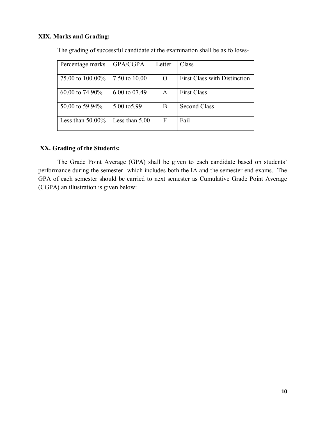### **XIX. Marks and Grading:**

| Percentage marks    | GPA/CGPA         | Letter   | Class                               |
|---------------------|------------------|----------|-------------------------------------|
| 75.00 to 100.00%    | 7.50 to 10.00    | $\Omega$ | <b>First Class with Distinction</b> |
| 60.00 to 74.90%     | 6.00 to 07.49    | A        | <b>First Class</b>                  |
| 50.00 to 59.94%     | 5.00 to 5.99     | B        | <b>Second Class</b>                 |
| Less than $50.00\%$ | Less than $5.00$ | F        | Fail                                |

The grading of successful candidate at the examination shall be as follows-

#### **XX. Grading of the Students:**

The Grade Point Average (GPA) shall be given to each candidate based on students' performance during the semester- which includes both the IA and the semester end exams. The GPA of each semester should be carried to next semester as Cumulative Grade Point Average (CGPA) an illustration is given below: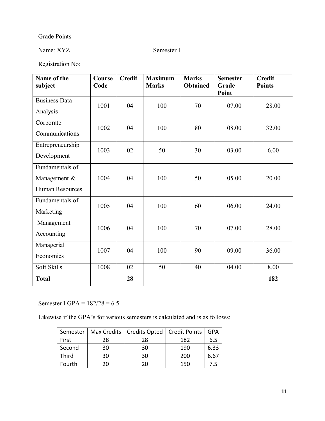### Grade Points

### Name: XYZ Semester I

Registration No:

| Name of the<br>subject                                    | Course<br>Code | <b>Credit</b> | <b>Maximum</b><br><b>Marks</b> | <b>Marks</b><br><b>Obtained</b> | <b>Semester</b><br>Grade<br>Point | <b>Credit</b><br><b>Points</b> |
|-----------------------------------------------------------|----------------|---------------|--------------------------------|---------------------------------|-----------------------------------|--------------------------------|
| <b>Business Data</b><br>Analysis                          | 1001           | 04            | 100                            | 70                              | 07.00                             | 28.00                          |
| Corporate<br>Communications                               | 1002           | 04            | 100                            | 80                              | 08.00                             | 32.00                          |
| Entrepreneurship<br>Development                           | 1003           | 02            | 50                             | 30                              | 03.00                             | 6.00                           |
| Fundamentals of<br>Management &<br><b>Human Resources</b> | 1004           | 04            | 100                            | 50                              | 05.00                             | 20.00                          |
| Fundamentals of<br>Marketing                              | 1005           | 04            | 100                            | 60                              | 06.00                             | 24.00                          |
| Management<br>Accounting                                  | 1006           | 04            | 100                            | 70                              | 07.00                             | 28.00                          |
| Managerial<br>Economics                                   | 1007           | 04            | 100                            | 90                              | 09.00                             | 36.00                          |
| Soft Skills                                               | 1008           | 02            | 50                             | 40                              | 04.00                             | 8.00                           |
| <b>Total</b>                                              |                | 28            |                                |                                 |                                   | 182                            |

Semester I GPA = 182/28 = 6.5

Likewise if the GPA's for various semesters is calculated and is as follows:

|        |    | Semester   Max Credits   Credits Opted   Credit Points |     | <b>GPA</b> |
|--------|----|--------------------------------------------------------|-----|------------|
| First  | 28 | 28                                                     | 182 | 6.5        |
| Second | 30 | 30                                                     | 190 | 6.33       |
| Third  | 30 | 30                                                     | 200 | b.b.       |
| Fourth | 20 | 20                                                     | 150 |            |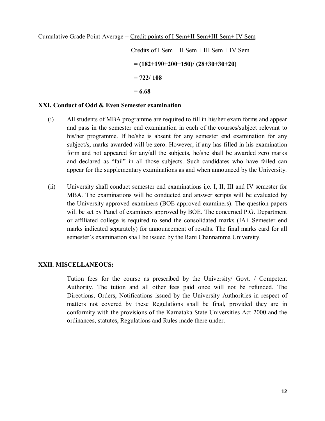Credits of I Sem + II Sem + III Sem + IV Sem **= (182+190+200+150)/ (28+30+30+20) = 722/ 108 = 6.68**

#### **XXI. Conduct of Odd & Even Semester examination**

- (i) All students of MBA programme are required to fill in his/her exam forms and appear and pass in the semester end examination in each of the courses/subject relevant to his/her programme. If he/she is absent for any semester end examination for any subject/s, marks awarded will be zero. However, if any has filled in his examination form and not appeared for any/all the subjects, he/she shall be awarded zero marks and declared as "fail" in all those subjects. Such candidates who have failed can appear for the supplementary examinations as and when announced by the University.
- (ii) University shall conduct semester end examinations i,e. I, II, III and IV semester for MBA. The examinations will be conducted and answer scripts will be evaluated by the University approved examiners (BOE approved examiners). The question papers will be set by Panel of examiners approved by BOE. The concerned P.G. Department or affiliated college is required to send the consolidated marks (IA+ Semester end marks indicated separately) for announcement of results. The final marks card for all semester's examination shall be issued by the Rani Channamma University.

#### **XXII. MISCELLANEOUS:**

Tution fees for the course as prescribed by the University/ Govt. / Competent Authority. The tution and all other fees paid once will not be refunded. The Directions, Orders, Notifications issued by the University Authorities in respect of matters not covered by these Regulations shall be final, provided they are in conformity with the provisions of the Karnataka State Universities Act-2000 and the ordinances, statutes, Regulations and Rules made there under.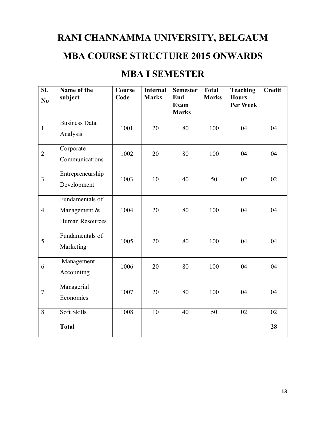# **RANI CHANNAMMA UNIVERSITY, BELGAUM**

### **MBA COURSE STRUCTURE 2015 ONWARDS**

### **MBA I SEMESTER**

| SI.<br>N <sub>0</sub> | Name of the<br>subject                                    | Course<br>Code | <b>Internal</b><br><b>Marks</b> | <b>Semester</b><br>End | <b>Total</b><br><b>Marks</b> | <b>Teaching</b><br><b>Hours</b><br>Per Week | <b>Credit</b> |
|-----------------------|-----------------------------------------------------------|----------------|---------------------------------|------------------------|------------------------------|---------------------------------------------|---------------|
|                       |                                                           |                |                                 | Exam<br><b>Marks</b>   |                              |                                             |               |
| $\mathbf{1}$          | <b>Business Data</b><br>Analysis                          | 1001           | 20                              | 80                     | 100                          | 04                                          | 04            |
| $\overline{2}$        | Corporate<br>Communications                               | 1002           | 20                              | 80                     | 100                          | 04                                          | 04            |
| $\overline{3}$        | Entrepreneurship<br>Development                           | 1003           | 10                              | 40                     | 50                           | 02                                          | 02            |
| $\overline{4}$        | Fundamentals of<br>Management &<br><b>Human Resources</b> | 1004           | 20                              | 80                     | 100                          | 04                                          | 04            |
| 5                     | Fundamentals of<br>Marketing                              | 1005           | 20                              | 80                     | 100                          | 04                                          | 04            |
| 6                     | Management<br>Accounting                                  | 1006           | 20                              | 80                     | 100                          | 04                                          | 04            |
| $\overline{7}$        | Managerial<br>Economics                                   | 1007           | 20                              | 80                     | 100                          | 04                                          | 04            |
| 8                     | Soft Skills                                               | 1008           | 10                              | 40                     | 50                           | 02                                          | 02            |
|                       | <b>Total</b>                                              |                |                                 |                        |                              |                                             | 28            |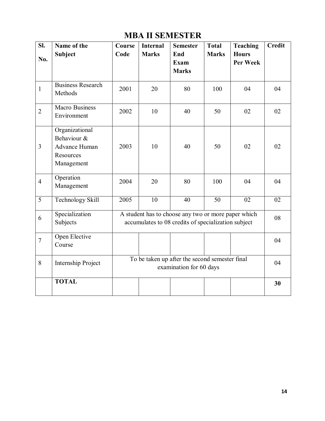| SI.            | Name of the                                                               | Course                                                                    | <b>Internal</b> | <b>Semester</b>                                                                                            | <b>Total</b> | <b>Teaching</b>          | <b>Credit</b> |
|----------------|---------------------------------------------------------------------------|---------------------------------------------------------------------------|-----------------|------------------------------------------------------------------------------------------------------------|--------------|--------------------------|---------------|
| No.            | Subject                                                                   | Code                                                                      | <b>Marks</b>    | End<br>Exam<br><b>Marks</b>                                                                                | <b>Marks</b> | <b>Hours</b><br>Per Week |               |
| $\mathbf{1}$   | <b>Business Research</b><br>Methods                                       | 2001                                                                      | 20              | 80                                                                                                         | 100          | 04                       | 04            |
| $\overline{2}$ | <b>Macro Business</b><br>Environment                                      | 2002                                                                      | 10              | 40                                                                                                         | 50           | 02                       | 02            |
| $\overline{3}$ | Organizational<br>Behaviour &<br>Advance Human<br>Resources<br>Management | 2003                                                                      | 10              | 40                                                                                                         | 50           | 02                       | 02            |
| $\overline{4}$ | Operation<br>Management                                                   | 2004                                                                      | 20              | 80                                                                                                         | 100          | 04                       | 04            |
| $\overline{5}$ | Technology Skill                                                          | 2005                                                                      | 10              | 40                                                                                                         | 50           | 02                       | 02            |
| 6              | Specialization<br>Subjects                                                |                                                                           |                 | A student has to choose any two or more paper which<br>accumulates to 08 credits of specialization subject |              |                          | 08            |
| $\overline{7}$ | Open Elective<br>Course                                                   |                                                                           |                 |                                                                                                            |              |                          | 04            |
| 8              | Internship Project                                                        | To be taken up after the second semester final<br>examination for 60 days |                 |                                                                                                            |              |                          |               |
|                | <b>TOTAL</b>                                                              |                                                                           |                 |                                                                                                            |              |                          | 30            |

### **MBA II SEMESTER**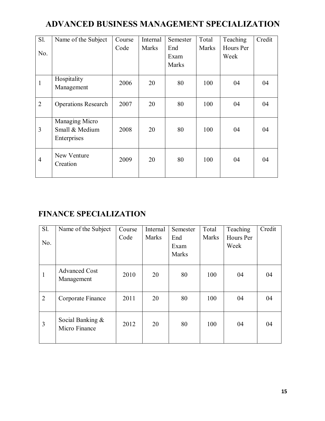### **ADVANCED BUSINESS MANAGEMENT SPECIALIZATION**

| $S1$ .         | Name of the Subject                             | Course | Internal     | Semester     | Total        | Teaching  | Credit |
|----------------|-------------------------------------------------|--------|--------------|--------------|--------------|-----------|--------|
|                |                                                 | Code   | <b>Marks</b> | End          | <b>Marks</b> | Hours Per |        |
| No.            |                                                 |        |              | Exam         |              | Week      |        |
|                |                                                 |        |              | <b>Marks</b> |              |           |        |
| $\mathbf{1}$   | Hospitality<br>Management                       | 2006   | 20           | 80           | 100          | 04        | 04     |
| $\overline{2}$ | <b>Operations Research</b>                      | 2007   | 20           | 80           | 100          | 04        | 04     |
| 3              | Managing Micro<br>Small & Medium<br>Enterprises | 2008   | 20           | 80           | 100          | 04        | 04     |
| $\overline{4}$ | New Venture<br>Creation                         | 2009   | 20           | 80           | 100          | 04        | 04     |

### **FINANCE SPECIALIZATION**

| <b>S1.</b>     | Name of the Subject                  | Course | Internal     | Semester | Total        | Teaching  | Credit |
|----------------|--------------------------------------|--------|--------------|----------|--------------|-----------|--------|
|                |                                      | Code   | <b>Marks</b> | End      | <b>Marks</b> | Hours Per |        |
| No.            |                                      |        |              | Exam     |              | Week      |        |
|                |                                      |        |              | Marks    |              |           |        |
|                |                                      |        |              |          |              |           |        |
| 1              | <b>Advanced Cost</b><br>Management   | 2010   | 20           | 80       | 100          | 04        | 04     |
|                |                                      |        |              |          |              |           |        |
| $\overline{2}$ | Corporate Finance                    | 2011   | 20           | 80       | 100          | 04        | 04     |
|                |                                      |        |              |          |              |           |        |
| 3              | Social Banking $\&$<br>Micro Finance | 2012   | 20           | 80       | 100          | 04        | 04     |
|                |                                      |        |              |          |              |           |        |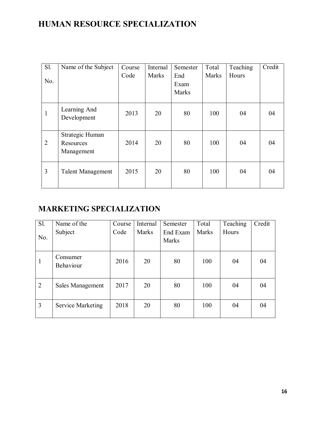### **HUMAN RESOURCE SPECIALIZATION**

| Sl.            | Name of the Subject      | Course | Internal     | Semester | Total        | Teaching | Credit |
|----------------|--------------------------|--------|--------------|----------|--------------|----------|--------|
|                |                          | Code   | <b>Marks</b> | End      | <b>Marks</b> | Hours    |        |
| No.            |                          |        |              | Exam     |              |          |        |
|                |                          |        |              | Marks    |              |          |        |
|                |                          |        |              |          |              |          |        |
| 1              | Learning And             | 2013   | 20           | 80       | 100          | 04       | 04     |
|                | Development              |        |              |          |              |          |        |
|                |                          |        |              |          |              |          |        |
|                | Strategic Human          |        |              |          |              |          |        |
| $\overline{2}$ | Resources                | 2014   | 20           | 80       | 100          | 04       | 04     |
|                | Management               |        |              |          |              |          |        |
|                |                          |        |              |          |              |          |        |
| 3              | <b>Talent Management</b> | 2015   | 20           | 80       | 100          | 04       | 04     |
|                |                          |        |              |          |              |          |        |
|                |                          |        |              |          |              |          |        |

### **MARKETING SPECIALIZATION**

| Sl.            | Name of the                  | Course | Internal     | Semester          | Total        | Teaching | Credit |
|----------------|------------------------------|--------|--------------|-------------------|--------------|----------|--------|
| No.            | Subject                      | Code   | <b>Marks</b> | End Exam<br>Marks | <b>Marks</b> | Hours    |        |
| 1              | Consumer<br><b>Behaviour</b> | 2016   | 20           | 80                | 100          | 04       | 04     |
| $\overline{2}$ | Sales Management             | 2017   | 20           | 80                | 100          | 04       | 04     |
| 3              | <b>Service Marketing</b>     | 2018   | 20           | 80                | 100          | 04       | 04     |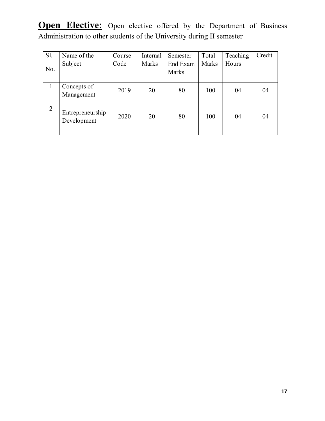**Open Elective:** Open elective offered by the Department of Business Administration to other students of the University during II semester

| <b>S1.</b> | Name of the                     | Course | Internal     | Semester          | Total | Teaching | Credit |
|------------|---------------------------------|--------|--------------|-------------------|-------|----------|--------|
| No.        | Subject                         | Code   | <b>Marks</b> | End Exam<br>Marks | Marks | Hours    |        |
|            | Concepts of<br>Management       | 2019   | 20           | 80                | 100   | 04       | 04     |
| 2          | Entrepreneurship<br>Development | 2020   | 20           | 80                | 100   | 04       | 04     |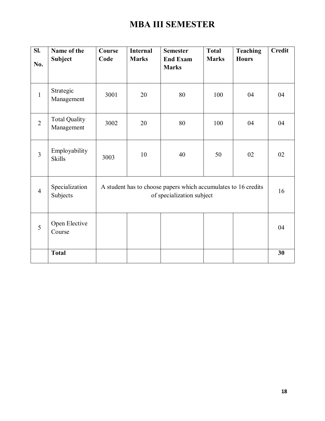# **MBA III SEMESTER**

| SI.            | Name of the                        | Course | <b>Internal</b>                                                                             | <b>Semester</b>                 | <b>Total</b> | <b>Teaching</b> | <b>Credit</b> |  |
|----------------|------------------------------------|--------|---------------------------------------------------------------------------------------------|---------------------------------|--------------|-----------------|---------------|--|
| No.            | <b>Subject</b>                     | Code   | <b>Marks</b>                                                                                | <b>End Exam</b><br><b>Marks</b> | <b>Marks</b> | <b>Hours</b>    |               |  |
| $\mathbf{1}$   | Strategic<br>Management            | 3001   | 20                                                                                          | 80                              | 100          | 04              | 04            |  |
| $\overline{2}$ | <b>Total Quality</b><br>Management | 3002   | 20                                                                                          | 80                              | 100          | 04              | 04            |  |
| $\overline{3}$ | Employability<br><b>Skills</b>     | 3003   | 10                                                                                          | 40                              | 50           | 02              | 02            |  |
| $\overline{4}$ | Specialization<br>Subjects         |        | A student has to choose papers which accumulates to 16 credits<br>of specialization subject |                                 |              |                 |               |  |
| 5              | Open Elective<br>Course            |        |                                                                                             |                                 |              |                 | 04            |  |
|                | <b>Total</b>                       |        |                                                                                             |                                 |              |                 | 30            |  |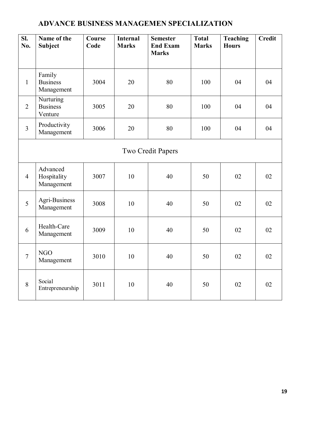### **ADVANCE BUSINESS MANAGEMEN SPECIALIZATION**

| SI.<br>No.     | Name of the<br><b>Subject</b>           | Course<br>Code | <b>Internal</b><br><b>Marks</b> | <b>Semester</b><br><b>End Exam</b><br><b>Marks</b> | <b>Total</b><br><b>Marks</b> | <b>Teaching</b><br><b>Hours</b> | <b>Credit</b> |  |  |
|----------------|-----------------------------------------|----------------|---------------------------------|----------------------------------------------------|------------------------------|---------------------------------|---------------|--|--|
| $\mathbf{1}$   | Family<br><b>Business</b><br>Management | 3004           | 20                              | 80                                                 | 100                          | 04                              | 04            |  |  |
| $\overline{2}$ | Nurturing<br><b>Business</b><br>Venture | 3005           | 20                              | 80                                                 | 100                          | 04                              | 04            |  |  |
| $\overline{3}$ | Productivity<br>Management              | 3006           | 20                              | 80                                                 | 100                          | 04                              | 04            |  |  |
|                | <b>Two Credit Papers</b>                |                |                                 |                                                    |                              |                                 |               |  |  |
| $\overline{4}$ | Advanced<br>Hospitality<br>Management   | 3007           | 10                              | 40                                                 | 50                           | 02                              | 02            |  |  |
| 5              | Agri-Business<br>Management             | 3008           | 10                              | 40                                                 | 50                           | 02                              | 02            |  |  |
| 6              | Health-Care<br>Management               | 3009           | 10                              | 40                                                 | 50                           | 02                              | 02            |  |  |
| $\overline{7}$ | <b>NGO</b><br>Management                | 3010           | 10                              | 40                                                 | 50                           | 02                              | 02            |  |  |
| 8              | Social<br>Entrepreneurship              | 3011           | 10                              | 40                                                 | 50                           | 02                              | 02            |  |  |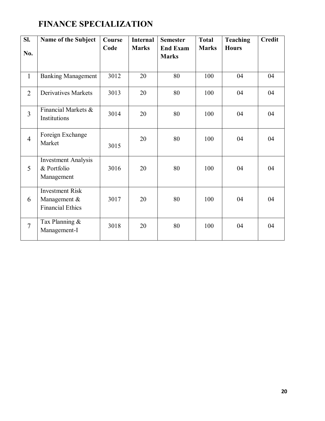### **FINANCE SPECIALIZATION**

| SI.            | Name of the Subject                                               | Course | <b>Internal</b> | <b>Semester</b>                 | <b>Total</b> | <b>Teaching</b> | <b>Credit</b> |
|----------------|-------------------------------------------------------------------|--------|-----------------|---------------------------------|--------------|-----------------|---------------|
| No.            |                                                                   | Code   | <b>Marks</b>    | <b>End Exam</b><br><b>Marks</b> | <b>Marks</b> | <b>Hours</b>    |               |
| $\mathbf{1}$   | <b>Banking Management</b>                                         | 3012   | 20              | 80                              | 100          | 04              | 04            |
| $\overline{2}$ | <b>Derivatives Markets</b>                                        | 3013   | 20              | 80                              | 100          | 04              | 04            |
| $\overline{3}$ | Financial Markets &<br>Institutions                               | 3014   | 20              | 80                              | 100          | 04              | 04            |
| $\overline{4}$ | Foreign Exchange<br>Market                                        | 3015   | 20              | 80                              | 100          | 04              | 04            |
| 5              | <b>Investment Analysis</b><br>& Portfolio<br>Management           | 3016   | 20              | 80                              | 100          | 04              | 04            |
| 6              | <b>Investment Risk</b><br>Management &<br><b>Financial Ethics</b> | 3017   | 20              | 80                              | 100          | 04              | 04            |
| $\overline{7}$ | Tax Planning &<br>Management-I                                    | 3018   | 20              | 80                              | 100          | 04              | 04            |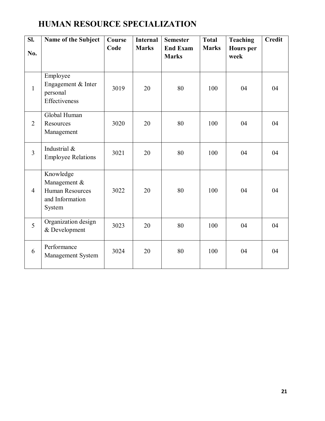### **HUMAN RESOURCE SPECIALIZATION**

| SI.<br>No.     | Name of the Subject                                                              | Course<br>Code | <b>Internal</b><br><b>Marks</b> | <b>Semester</b><br><b>End Exam</b><br><b>Marks</b> | <b>Total</b><br><b>Marks</b> | <b>Teaching</b><br><b>Hours</b> per<br>week | <b>Credit</b> |
|----------------|----------------------------------------------------------------------------------|----------------|---------------------------------|----------------------------------------------------|------------------------------|---------------------------------------------|---------------|
| $\mathbf{1}$   | Employee<br>Engagement & Inter<br>personal<br>Effectiveness                      | 3019           | 20                              | 80                                                 | 100                          | 04                                          | 04            |
| $\overline{2}$ | Global Human<br>Resources<br>Management                                          | 3020           | 20                              | 80                                                 | 100                          | 04                                          | 04            |
| $\overline{3}$ | Industrial &<br><b>Employee Relations</b>                                        | 3021           | 20                              | 80                                                 | 100                          | 04                                          | 04            |
| $\overline{4}$ | Knowledge<br>Management &<br><b>Human Resources</b><br>and Information<br>System | 3022           | 20                              | 80                                                 | 100                          | 04                                          | 04            |
| 5              | Organization design<br>& Development                                             | 3023           | 20                              | 80                                                 | 100                          | 04                                          | 04            |
| 6              | Performance<br>Management System                                                 | 3024           | 20                              | 80                                                 | 100                          | 04                                          | 04            |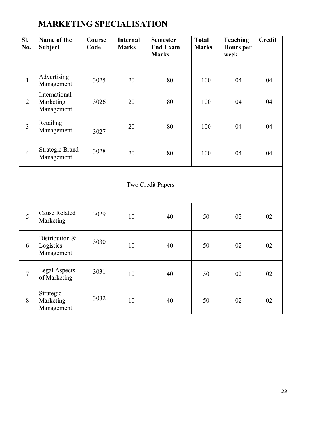# **MARKETING SPECIALISATION**

| SI.<br>No.     | Name of the<br><b>Subject</b>             | Course<br>Code | <b>Internal</b><br><b>Marks</b> | <b>Semester</b><br><b>End Exam</b><br><b>Marks</b> | <b>Total</b><br><b>Marks</b> | <b>Teaching</b><br><b>Hours</b> per<br>week | <b>Credit</b> |  |  |  |
|----------------|-------------------------------------------|----------------|---------------------------------|----------------------------------------------------|------------------------------|---------------------------------------------|---------------|--|--|--|
| $\mathbf{1}$   | Advertising<br>Management                 | 3025           | 20                              | 80                                                 | 100                          | 04                                          | 04            |  |  |  |
| $\overline{2}$ | International<br>Marketing<br>Management  | 3026           | 20                              | 80                                                 | 100                          | 04                                          | 04            |  |  |  |
| $\overline{3}$ | Retailing<br>Management                   | 3027           | 20                              | 80                                                 | 100                          | 04                                          | 04            |  |  |  |
| $\overline{4}$ | <b>Strategic Brand</b><br>Management      | 3028           | 20                              | 80                                                 | 100                          | 04                                          | 04            |  |  |  |
|                | Two Credit Papers                         |                |                                 |                                                    |                              |                                             |               |  |  |  |
| 5              | <b>Cause Related</b><br>Marketing         | 3029           | 10                              | 40                                                 | 50                           | 02                                          | 02            |  |  |  |
| 6              | Distribution &<br>Logistics<br>Management | 3030           | 10                              | 40                                                 | 50                           | 02                                          | 02            |  |  |  |
| $\overline{7}$ | <b>Legal Aspects</b><br>of Marketing      | 3031           | 10                              | 40                                                 | 50                           | 02                                          | 02            |  |  |  |
| 8              | Strategic<br>Marketing<br>Management      | 3032           | 10                              | 40                                                 | 50                           | 02                                          | 02            |  |  |  |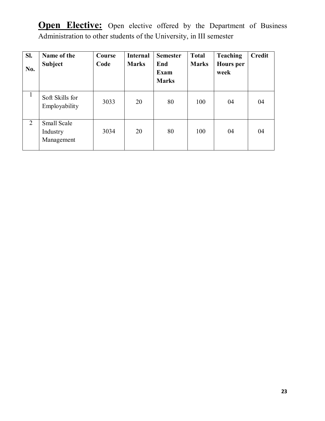**Open Elective:** Open elective offered by the Department of Business Administration to other students of the University, in III semester

| SI.<br>No.   | Name of the<br><b>Subject</b>         | Course<br>Code | <b>Internal</b><br><b>Marks</b> | <b>Semester</b><br>End<br><b>Exam</b><br><b>Marks</b> | <b>Total</b><br><b>Marks</b> | <b>Teaching</b><br><b>Hours</b> per<br>week | <b>Credit</b> |
|--------------|---------------------------------------|----------------|---------------------------------|-------------------------------------------------------|------------------------------|---------------------------------------------|---------------|
| $\mathbf{1}$ | Soft Skills for<br>Employability      | 3033           | 20                              | 80                                                    | 100                          | 04                                          | 04            |
| 2            | Small Scale<br>Industry<br>Management | 3034           | 20                              | 80                                                    | 100                          | 04                                          | 04            |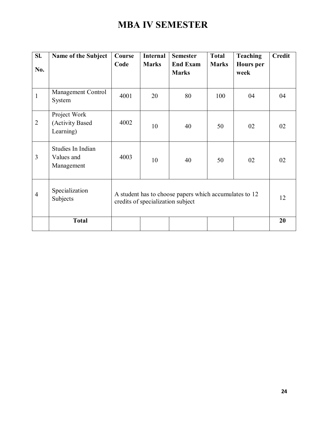# **MBA IV SEMESTER**

| SI.            | Name of the Subject                           | Course<br>Code | <b>Internal</b><br><b>Marks</b>                                                             | <b>Semester</b><br><b>End Exam</b> | <b>Total</b><br><b>Marks</b> | <b>Teaching</b><br><b>Hours</b> per | <b>Credit</b> |  |
|----------------|-----------------------------------------------|----------------|---------------------------------------------------------------------------------------------|------------------------------------|------------------------------|-------------------------------------|---------------|--|
| No.            |                                               |                |                                                                                             | <b>Marks</b>                       |                              | week                                |               |  |
| $\mathbf{1}$   | Management Control<br>System                  | 4001           | 20                                                                                          | 80                                 | 100                          | 04                                  | 04            |  |
| $\overline{2}$ | Project Work<br>(Activity Based<br>Learning)  | 4002           | 10                                                                                          | 40                                 | 50                           | 02                                  | 02            |  |
| 3              | Studies In Indian<br>Values and<br>Management | 4003           | 10                                                                                          | 40                                 | 50                           | 02                                  | 02            |  |
| $\overline{4}$ | Specialization<br>Subjects                    |                | A student has to choose papers which accumulates to 12<br>credits of specialization subject |                                    |                              |                                     |               |  |
|                | <b>Total</b>                                  |                |                                                                                             |                                    |                              |                                     | 20            |  |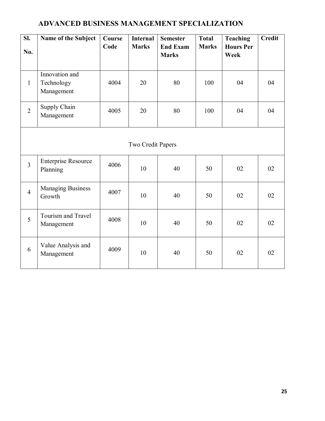### **ADVANCED BUSINESS MANAGEMENT SPECIALIZATION**

| SI.            | Name of the Subject                    | Course<br>Code | <b>Internal</b><br><b>Marks</b> | <b>Semester</b><br><b>End Exam</b> | <b>Total</b><br><b>Marks</b> | <b>Teaching</b><br><b>Hours Per</b> | <b>Credit</b> |  |  |  |
|----------------|----------------------------------------|----------------|---------------------------------|------------------------------------|------------------------------|-------------------------------------|---------------|--|--|--|
| No.            |                                        |                |                                 | <b>Marks</b>                       |                              | Week                                |               |  |  |  |
|                | Innovation and                         |                |                                 |                                    |                              |                                     |               |  |  |  |
| $\mathbf{1}$   | Technology<br>Management               | 4004           | 20                              | 80                                 | 100                          | 04                                  | 04            |  |  |  |
| $\overline{2}$ | Supply Chain<br>Management             | 4005           | 20                              | 80                                 | 100                          | 04                                  | 04            |  |  |  |
|                | Two Credit Papers                      |                |                                 |                                    |                              |                                     |               |  |  |  |
| $\overline{3}$ | <b>Enterprise Resource</b><br>Planning | 4006           | 10                              | 40                                 | 50                           | 02                                  | 02            |  |  |  |
| $\overline{4}$ | <b>Managing Business</b><br>Growth     | 4007           | 10                              | 40                                 | 50                           | 02                                  | 02            |  |  |  |
| 5              | Tourism and Travel<br>Management       | 4008           | 10                              | 40                                 | 50                           | 02                                  | 02            |  |  |  |
| 6              | Value Analysis and<br>Management       | 4009           | 10                              | 40                                 | 50                           | 02                                  | 02            |  |  |  |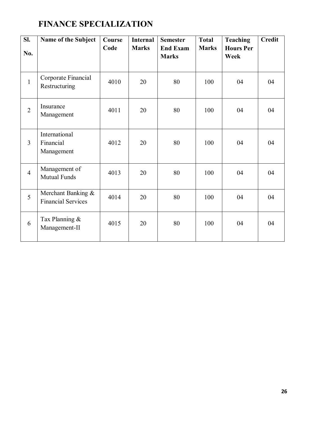### **FINANCE SPECIALIZATION**

| SI.<br>No.     | Name of the Subject                             | Course<br>Code | <b>Internal</b><br><b>Marks</b> | <b>Semester</b><br><b>End Exam</b><br><b>Marks</b> | <b>Total</b><br><b>Marks</b> | <b>Teaching</b><br><b>Hours Per</b><br>Week | <b>Credit</b> |
|----------------|-------------------------------------------------|----------------|---------------------------------|----------------------------------------------------|------------------------------|---------------------------------------------|---------------|
| $\mathbf{1}$   | Corporate Financial<br>Restructuring            | 4010           | 20                              | 80                                                 | 100                          | 04                                          | 04            |
| $\overline{2}$ | Insurance<br>Management                         | 4011           | 20                              | 80                                                 | 100                          | 04                                          | 04            |
| $\overline{3}$ | International<br>Financial<br>Management        | 4012           | 20                              | 80                                                 | 100                          | 04                                          | 04            |
| $\overline{4}$ | Management of<br>Mutual Funds                   | 4013           | 20                              | 80                                                 | 100                          | 04                                          | 04            |
| 5              | Merchant Banking &<br><b>Financial Services</b> | 4014           | 20                              | 80                                                 | 100                          | 04                                          | 04            |
| 6              | Tax Planning &<br>Management-II                 | 4015           | 20                              | 80                                                 | 100                          | 04                                          | 04            |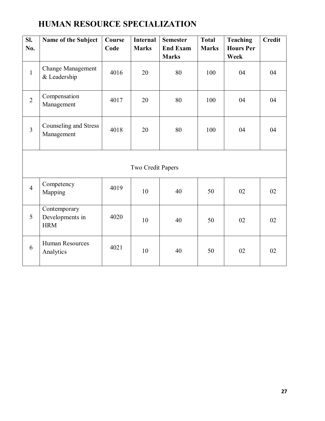# **HUMAN RESOURCE SPECIALIZATION**

| SI.<br>No.     | Name of the Subject                           | Course<br>Code | <b>Internal</b><br><b>Marks</b> | <b>Semester</b><br><b>End Exam</b><br><b>Marks</b> | <b>Total</b><br><b>Marks</b> | <b>Teaching</b><br><b>Hours Per</b><br>Week | <b>Credit</b> |
|----------------|-----------------------------------------------|----------------|---------------------------------|----------------------------------------------------|------------------------------|---------------------------------------------|---------------|
| $\mathbf{1}$   | <b>Change Management</b><br>& Leadership      | 4016           | 20                              | 80                                                 | 100                          | 04                                          | 04            |
| $\overline{2}$ | Compensation<br>Management                    | 4017           | 20                              | 80                                                 | 100                          | 04                                          | 04            |
| $\overline{3}$ | Counseling and Stress<br>Management           | 4018           | 20                              | 80                                                 | 100                          | 04                                          | 04            |
|                |                                               |                | Two Credit Papers               |                                                    |                              |                                             |               |
| $\overline{4}$ | Competency<br>Mapping                         | 4019           | 10                              | 40                                                 | 50                           | 02                                          | 02            |
| 5              | Contemporary<br>Developments in<br><b>HRM</b> | 4020           | 10                              | 40                                                 | 50                           | 02                                          | 02            |
| 6              | <b>Human Resources</b><br>Analytics           | 4021           | 10                              | 40                                                 | 50                           | 02                                          | 02            |